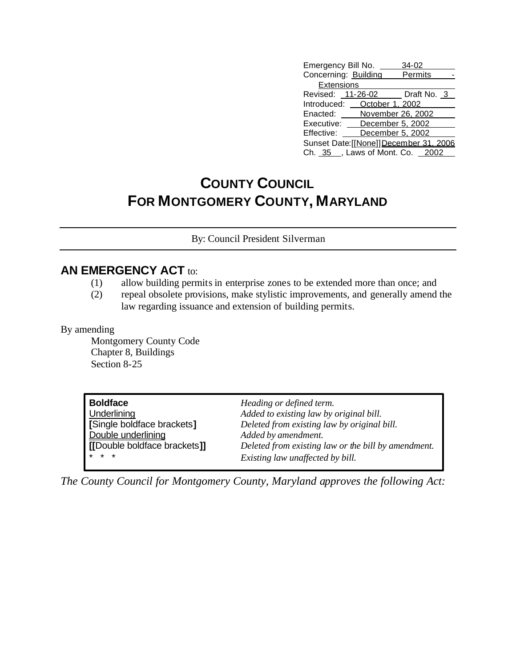| Emergency Bill No.                      | 34-02             |  |  |  |
|-----------------------------------------|-------------------|--|--|--|
| Concerning: Building                    | <b>Permits</b>    |  |  |  |
| <b>Extensions</b>                       |                   |  |  |  |
| Revised: 11-26-02 Draft No. 3           |                   |  |  |  |
| Introduced: <b>October 1, 2002</b>      |                   |  |  |  |
| Enacted:                                | November 26, 2002 |  |  |  |
| December 5, 2002<br>Executive:          |                   |  |  |  |
| December 5, 2002<br>Effective:          |                   |  |  |  |
| Sunset Date: [[None]] December 31, 2006 |                   |  |  |  |
| Ch. 35 , Laws of Mont. Co. 2002         |                   |  |  |  |

## **COUNTY COUNCIL FOR MONTGOMERY COUNTY, MARYLAND**

By: Council President Silverman

## **AN EMERGENCY ACT to:**

- (1) allow building permits in enterprise zones to be extended more than once; and
- (2) repeal obsolete provisions, make stylistic improvements, and generally amend the law regarding issuance and extension of building permits.

## By amending

Montgomery County Code Chapter 8, Buildings Section 8-25

| <b>Boldface</b>              | Heading or defined term.                            |
|------------------------------|-----------------------------------------------------|
| Underlining                  | Added to existing law by original bill.             |
| [Single boldface brackets]   | Deleted from existing law by original bill.         |
| Double underlining           | Added by amendment.                                 |
| [[Double boldface brackets]] | Deleted from existing law or the bill by amendment. |
| $*$ $*$ $*$                  | Existing law unaffected by bill.                    |

*The County Council for Montgomery County, Maryland approves the following Act:*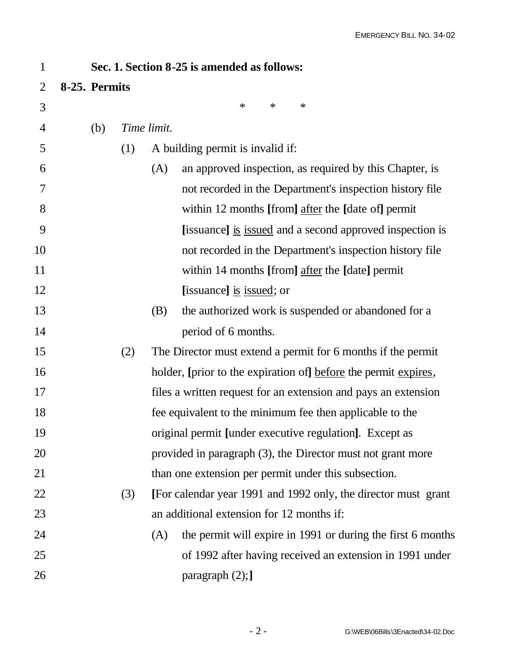| $\mathbf{1}$   | Sec. 1. Section 8-25 is amended as follows: |     |             |                                                                 |  |
|----------------|---------------------------------------------|-----|-------------|-----------------------------------------------------------------|--|
| 2              | 8-25. Permits                               |     |             |                                                                 |  |
| 3              |                                             |     |             | $\ast$<br>$\ast$<br>∗                                           |  |
| $\overline{4}$ | (b)                                         |     | Time limit. |                                                                 |  |
| 5              |                                             | (1) |             | A building permit is invalid if:                                |  |
| 6              |                                             |     | (A)         | an approved inspection, as required by this Chapter, is         |  |
| 7              |                                             |     |             | not recorded in the Department's inspection history file        |  |
| 8              |                                             |     |             | within 12 months [from] after the [date of] permit              |  |
| 9              |                                             |     |             | [issuance] is issued and a second approved inspection is        |  |
| 10             |                                             |     |             | not recorded in the Department's inspection history file        |  |
| 11             |                                             |     |             | within 14 months [from] after the [date] permit                 |  |
| 12             |                                             |     |             | [issuance] is issued; or                                        |  |
| 13             |                                             |     | (B)         | the authorized work is suspended or abandoned for a             |  |
| 14             |                                             |     |             | period of 6 months.                                             |  |
| 15             |                                             | (2) |             | The Director must extend a permit for 6 months if the permit    |  |
| 16             |                                             |     |             | holder, [prior to the expiration of] before the permit expires, |  |
| 17             |                                             |     |             | files a written request for an extension and pays an extension  |  |
| 18             |                                             |     |             | fee equivalent to the minimum fee then applicable to the        |  |
| 19             |                                             |     |             | original permit [under executive regulation]. Except as         |  |
| 20             |                                             |     |             | provided in paragraph (3), the Director must not grant more     |  |
| 21             |                                             |     |             | than one extension per permit under this subsection.            |  |
| 22             |                                             | (3) |             | [For calendar year 1991 and 1992 only, the director must grant  |  |
| 23             |                                             |     |             | an additional extension for 12 months if:                       |  |
| 24             |                                             |     | (A)         | the permit will expire in 1991 or during the first 6 months     |  |
| 25             |                                             |     |             | of 1992 after having received an extension in 1991 under        |  |
| 26             |                                             |     |             | paragraph $(2)$ ;                                               |  |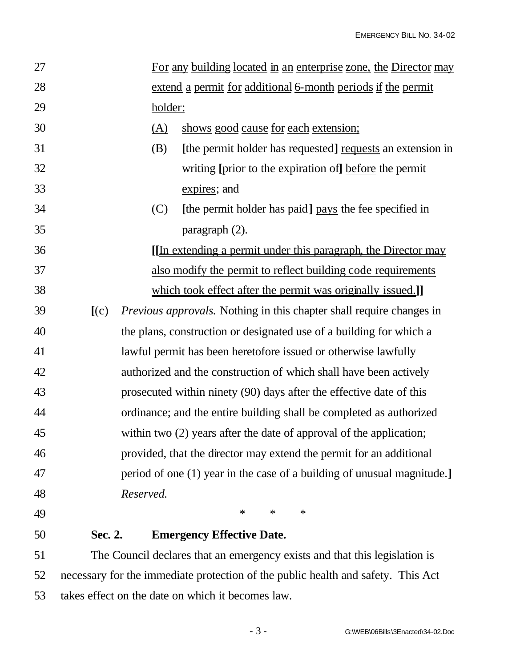| 27 |                                                                     |            | For any building located in an enterprise zone, the Director may            |  |
|----|---------------------------------------------------------------------|------------|-----------------------------------------------------------------------------|--|
| 28 |                                                                     |            | extend a permit for additional 6-month periods if the permit                |  |
| 29 |                                                                     | holder:    |                                                                             |  |
| 30 |                                                                     | <u>(A)</u> | shows good cause for each extension;                                        |  |
| 31 |                                                                     | (B)        | [the permit holder has requested] requests an extension in                  |  |
| 32 |                                                                     |            | writing [prior to the expiration of] before the permit                      |  |
| 33 |                                                                     |            | expires; and                                                                |  |
| 34 |                                                                     | (C)        | [the permit holder has paid] pays the fee specified in                      |  |
| 35 |                                                                     |            | paragraph $(2)$ .                                                           |  |
| 36 |                                                                     |            | <u>[In extending a permit under this paragraph, the Director may</u>        |  |
| 37 |                                                                     |            | also modify the permit to reflect building code requirements                |  |
| 38 |                                                                     |            | which took effect after the permit was originally issued.]                  |  |
| 39 | [(c)]                                                               |            | <i>Previous approvals.</i> Nothing in this chapter shall require changes in |  |
| 40 |                                                                     |            | the plans, construction or designated use of a building for which a         |  |
| 41 | lawful permit has been heretofore issued or otherwise lawfully      |            |                                                                             |  |
| 42 | authorized and the construction of which shall have been actively   |            |                                                                             |  |
| 43 | prosecuted within ninety (90) days after the effective date of this |            |                                                                             |  |
| 44 |                                                                     |            | ordinance; and the entire building shall be completed as authorized         |  |
| 45 |                                                                     |            | within two $(2)$ years after the date of approval of the application;       |  |
| 46 |                                                                     |            | provided, that the director may extend the permit for an additional         |  |
| 47 |                                                                     |            | period of one (1) year in the case of a building of unusual magnitude.]     |  |
| 48 | Reserved.                                                           |            |                                                                             |  |
| 49 |                                                                     |            | $\ast$<br>$\ast$<br>∗                                                       |  |
| 50 | Sec. 2.                                                             |            | <b>Emergency Effective Date.</b>                                            |  |

 The Council declares that an emergency exists and that this legislation is necessary for the immediate protection of the public health and safety. This Act takes effect on the date on which it becomes law.